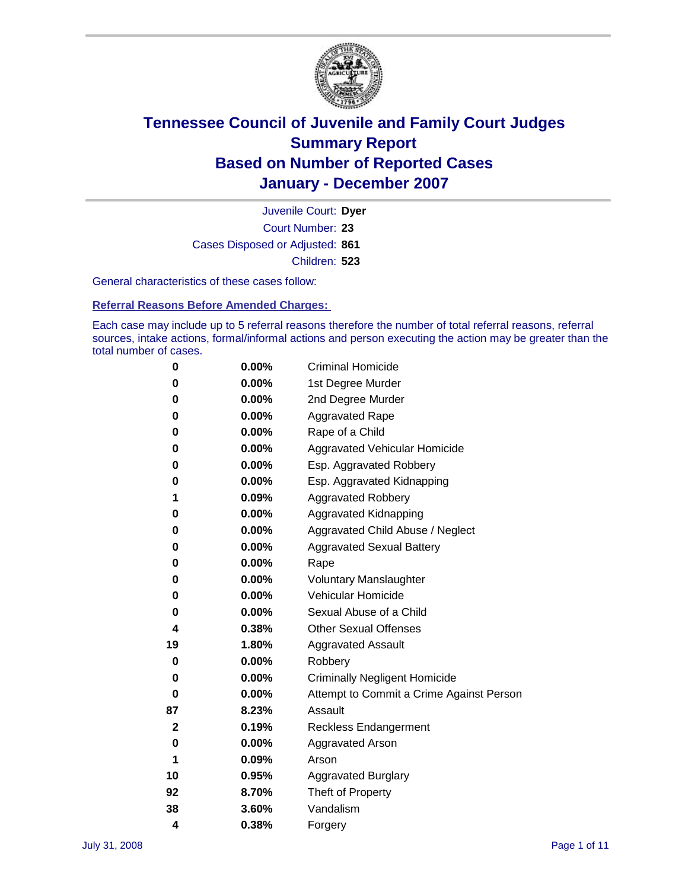

Court Number: **23** Juvenile Court: **Dyer** Cases Disposed or Adjusted: **861** Children: **523**

General characteristics of these cases follow:

**Referral Reasons Before Amended Charges:** 

Each case may include up to 5 referral reasons therefore the number of total referral reasons, referral sources, intake actions, formal/informal actions and person executing the action may be greater than the total number of cases.

| 0  | 0.00%    | <b>Criminal Homicide</b>                 |
|----|----------|------------------------------------------|
| 0  | 0.00%    | 1st Degree Murder                        |
| 0  | $0.00\%$ | 2nd Degree Murder                        |
| 0  | 0.00%    | <b>Aggravated Rape</b>                   |
| 0  | 0.00%    | Rape of a Child                          |
| 0  | 0.00%    | Aggravated Vehicular Homicide            |
| 0  | 0.00%    | Esp. Aggravated Robbery                  |
| 0  | 0.00%    | Esp. Aggravated Kidnapping               |
| 1  | 0.09%    | <b>Aggravated Robbery</b>                |
| 0  | $0.00\%$ | Aggravated Kidnapping                    |
| 0  | 0.00%    | Aggravated Child Abuse / Neglect         |
| 0  | $0.00\%$ | <b>Aggravated Sexual Battery</b>         |
| 0  | 0.00%    | Rape                                     |
| 0  | 0.00%    | <b>Voluntary Manslaughter</b>            |
| 0  | 0.00%    | Vehicular Homicide                       |
| 0  | 0.00%    | Sexual Abuse of a Child                  |
| 4  | 0.38%    | <b>Other Sexual Offenses</b>             |
| 19 | 1.80%    | <b>Aggravated Assault</b>                |
| 0  | $0.00\%$ | Robbery                                  |
| 0  | 0.00%    | <b>Criminally Negligent Homicide</b>     |
| 0  | 0.00%    | Attempt to Commit a Crime Against Person |
| 87 | 8.23%    | Assault                                  |
| 2  | 0.19%    | <b>Reckless Endangerment</b>             |
| 0  | 0.00%    | <b>Aggravated Arson</b>                  |
| 1  | 0.09%    | Arson                                    |
| 10 | 0.95%    | <b>Aggravated Burglary</b>               |
| 92 | 8.70%    | Theft of Property                        |
| 38 | 3.60%    | Vandalism                                |
| 4  | 0.38%    | Forgery                                  |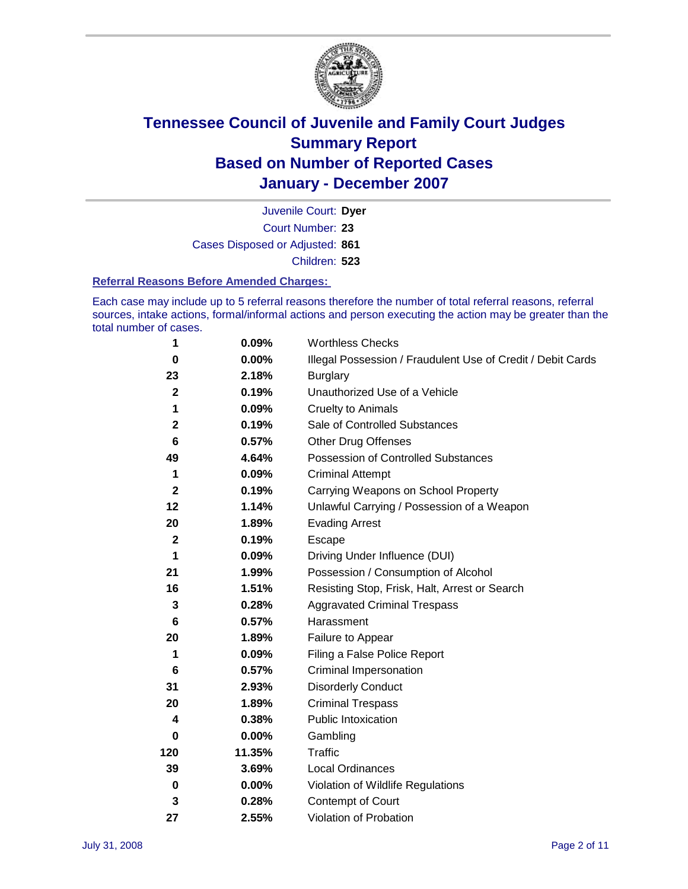

Court Number: **23** Juvenile Court: **Dyer** Cases Disposed or Adjusted: **861** Children: **523**

#### **Referral Reasons Before Amended Charges:**

Each case may include up to 5 referral reasons therefore the number of total referral reasons, referral sources, intake actions, formal/informal actions and person executing the action may be greater than the total number of cases.

| 1            | 0.09%    | <b>Worthless Checks</b>                                     |
|--------------|----------|-------------------------------------------------------------|
| $\bf{0}$     | 0.00%    | Illegal Possession / Fraudulent Use of Credit / Debit Cards |
| 23           | 2.18%    | <b>Burglary</b>                                             |
| $\mathbf{2}$ | 0.19%    | Unauthorized Use of a Vehicle                               |
| 1            | 0.09%    | <b>Cruelty to Animals</b>                                   |
| $\mathbf{2}$ | 0.19%    | Sale of Controlled Substances                               |
| 6            | 0.57%    | <b>Other Drug Offenses</b>                                  |
| 49           | 4.64%    | <b>Possession of Controlled Substances</b>                  |
| 1            | 0.09%    | <b>Criminal Attempt</b>                                     |
| $\mathbf{2}$ | 0.19%    | Carrying Weapons on School Property                         |
| 12           | 1.14%    | Unlawful Carrying / Possession of a Weapon                  |
| 20           | 1.89%    | <b>Evading Arrest</b>                                       |
| $\mathbf{2}$ | 0.19%    | Escape                                                      |
| 1            | 0.09%    | Driving Under Influence (DUI)                               |
| 21           | 1.99%    | Possession / Consumption of Alcohol                         |
| 16           | 1.51%    | Resisting Stop, Frisk, Halt, Arrest or Search               |
| 3            | 0.28%    | <b>Aggravated Criminal Trespass</b>                         |
| 6            | 0.57%    | Harassment                                                  |
| 20           | 1.89%    | Failure to Appear                                           |
| 1            | 0.09%    | Filing a False Police Report                                |
| 6            | 0.57%    | Criminal Impersonation                                      |
| 31           | 2.93%    | <b>Disorderly Conduct</b>                                   |
| 20           | 1.89%    | <b>Criminal Trespass</b>                                    |
| 4            | 0.38%    | Public Intoxication                                         |
| 0            | $0.00\%$ | Gambling                                                    |
| 120          | 11.35%   | <b>Traffic</b>                                              |
| 39           | 3.69%    | Local Ordinances                                            |
| $\pmb{0}$    | 0.00%    | Violation of Wildlife Regulations                           |
| 3            | 0.28%    | Contempt of Court                                           |
| 27           | 2.55%    | Violation of Probation                                      |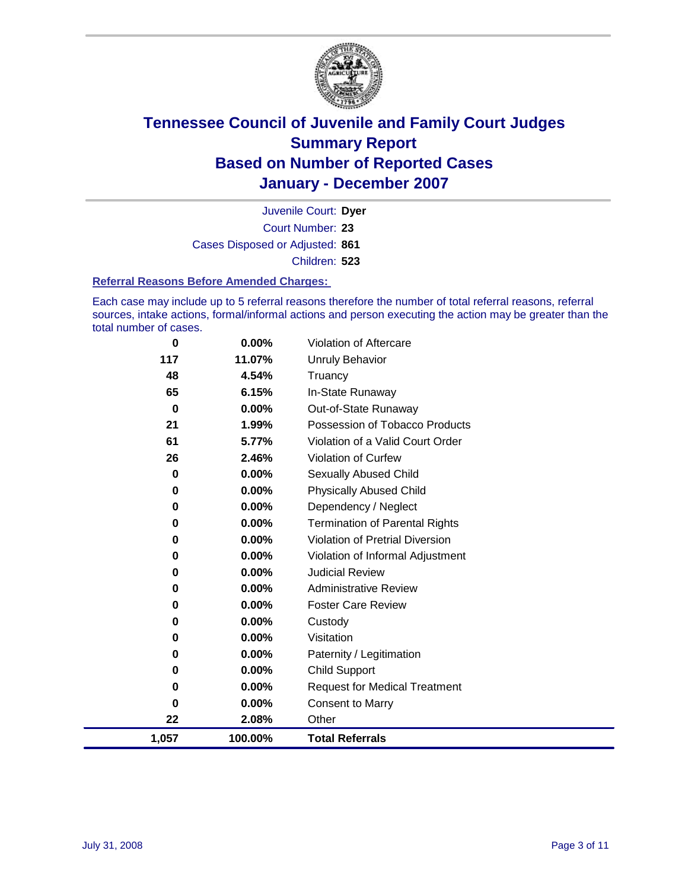

Court Number: **23** Juvenile Court: **Dyer** Cases Disposed or Adjusted: **861** Children: **523**

#### **Referral Reasons Before Amended Charges:**

Each case may include up to 5 referral reasons therefore the number of total referral reasons, referral sources, intake actions, formal/informal actions and person executing the action may be greater than the total number of cases.

| 0        | 0.00%    | Violation of Aftercare                 |
|----------|----------|----------------------------------------|
| 117      | 11.07%   | <b>Unruly Behavior</b>                 |
| 48       | 4.54%    | Truancy                                |
| 65       | 6.15%    | In-State Runaway                       |
| $\bf{0}$ | $0.00\%$ | Out-of-State Runaway                   |
| 21       | 1.99%    | Possession of Tobacco Products         |
| 61       | 5.77%    | Violation of a Valid Court Order       |
| 26       | 2.46%    | Violation of Curfew                    |
| 0        | 0.00%    | Sexually Abused Child                  |
| 0        | 0.00%    | <b>Physically Abused Child</b>         |
| 0        | 0.00%    | Dependency / Neglect                   |
| 0        | 0.00%    | <b>Termination of Parental Rights</b>  |
| 0        | 0.00%    | <b>Violation of Pretrial Diversion</b> |
| 0        | $0.00\%$ | Violation of Informal Adjustment       |
| 0        | 0.00%    | <b>Judicial Review</b>                 |
| 0        | 0.00%    | <b>Administrative Review</b>           |
| 0        | $0.00\%$ | <b>Foster Care Review</b>              |
| 0        | $0.00\%$ | Custody                                |
| 0        | 0.00%    | Visitation                             |
| 0        | 0.00%    | Paternity / Legitimation               |
| 0        | $0.00\%$ | <b>Child Support</b>                   |
| 0        | $0.00\%$ | <b>Request for Medical Treatment</b>   |
| 0        | 0.00%    | <b>Consent to Marry</b>                |
| 22       | 2.08%    | Other                                  |
| 1,057    | 100.00%  | <b>Total Referrals</b>                 |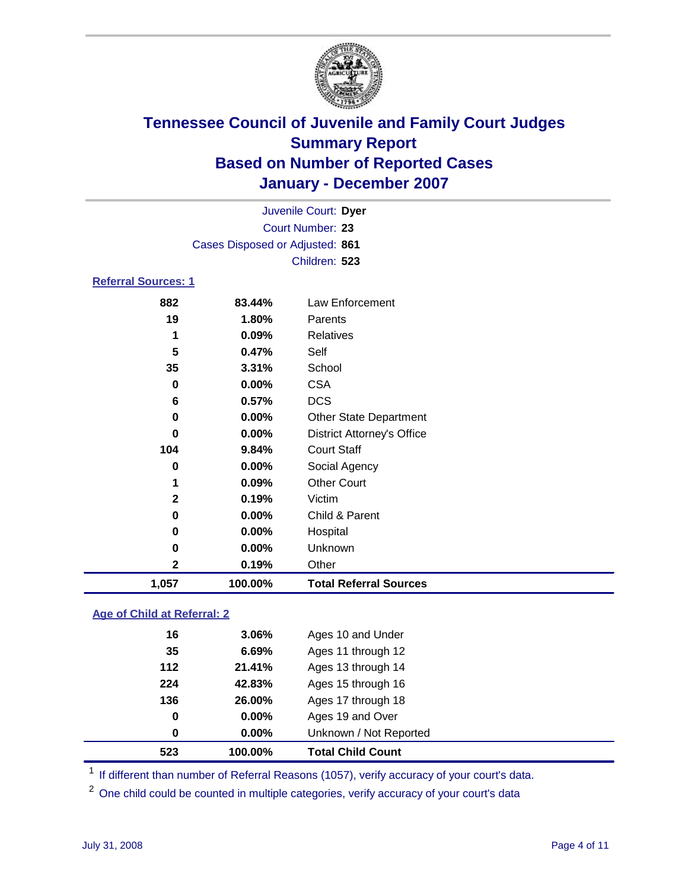

|                            |     |                                 | Juvenile Court: Dyer |  |
|----------------------------|-----|---------------------------------|----------------------|--|
|                            |     |                                 | Court Number: 23     |  |
|                            |     | Cases Disposed or Adjusted: 861 |                      |  |
|                            |     |                                 | Children: 523        |  |
| <b>Referral Sources: 1</b> |     |                                 |                      |  |
|                            | 882 | 83 AA%                          | Law Enforcement      |  |

### **83.44%** Law Enforcement **1.80%** Parents **0.09%** Relatives **0.47%** Self **3.31%** School **0.00%** CSA **0.57%** DCS **0.00%** Other State Department **0.00%** District Attorney's Office **9.84%** Court Staff **0.00%** Social Agency **0.09%** Other Court **0.19%** Victim **0.00%** Child & Parent **0.00%** Hospital **0.00%** Unknown **0.19%** Other **1,057 100.00% Total Referral Sources**

### **Age of Child at Referral: 2**

| 523   | 100.00%  | <b>Total Child Count</b> |  |
|-------|----------|--------------------------|--|
| 0     | 0.00%    | Unknown / Not Reported   |  |
| 0     | $0.00\%$ | Ages 19 and Over         |  |
| 136   | 26.00%   | Ages 17 through 18       |  |
| 224   | 42.83%   | Ages 15 through 16       |  |
| $112$ | 21.41%   | Ages 13 through 14       |  |
| 35    | 6.69%    | Ages 11 through 12       |  |
| 16    | 3.06%    | Ages 10 and Under        |  |
|       |          |                          |  |

<sup>1</sup> If different than number of Referral Reasons (1057), verify accuracy of your court's data.

<sup>2</sup> One child could be counted in multiple categories, verify accuracy of your court's data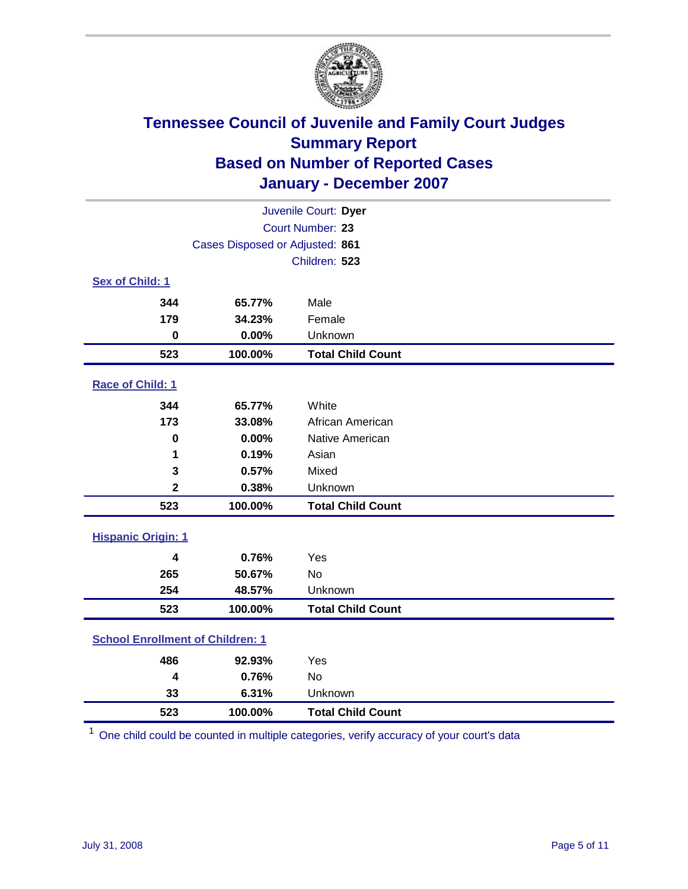

| Juvenile Court: Dyer                    |                                 |                          |  |  |  |
|-----------------------------------------|---------------------------------|--------------------------|--|--|--|
|                                         | Court Number: 23                |                          |  |  |  |
|                                         | Cases Disposed or Adjusted: 861 |                          |  |  |  |
|                                         |                                 | Children: 523            |  |  |  |
| Sex of Child: 1                         |                                 |                          |  |  |  |
| 344                                     | 65.77%                          | Male                     |  |  |  |
| 179                                     | 34.23%                          | Female                   |  |  |  |
| $\bf{0}$                                | 0.00%                           | Unknown                  |  |  |  |
| 523                                     | 100.00%                         | <b>Total Child Count</b> |  |  |  |
| Race of Child: 1                        |                                 |                          |  |  |  |
| 344                                     | 65.77%                          | White                    |  |  |  |
| 173                                     | 33.08%                          | African American         |  |  |  |
| $\bf{0}$                                | 0.00%                           | Native American          |  |  |  |
| 1                                       | 0.19%                           | Asian                    |  |  |  |
| 3                                       | 0.57%                           | Mixed                    |  |  |  |
| $\mathbf 2$                             | 0.38%                           | Unknown                  |  |  |  |
| 523                                     | 100.00%                         | <b>Total Child Count</b> |  |  |  |
| <b>Hispanic Origin: 1</b>               |                                 |                          |  |  |  |
| $\overline{\mathbf{4}}$                 | 0.76%                           | Yes                      |  |  |  |
| 265                                     | 50.67%                          | <b>No</b>                |  |  |  |
| 254                                     | 48.57%                          | Unknown                  |  |  |  |
| 523                                     | 100.00%                         | <b>Total Child Count</b> |  |  |  |
|                                         |                                 |                          |  |  |  |
| <b>School Enrollment of Children: 1</b> |                                 |                          |  |  |  |
| 486                                     | 92.93%                          | Yes                      |  |  |  |
| 4                                       | 0.76%                           | <b>No</b>                |  |  |  |
| 33                                      | 6.31%                           | Unknown                  |  |  |  |
| 523                                     | 100.00%                         | <b>Total Child Count</b> |  |  |  |

One child could be counted in multiple categories, verify accuracy of your court's data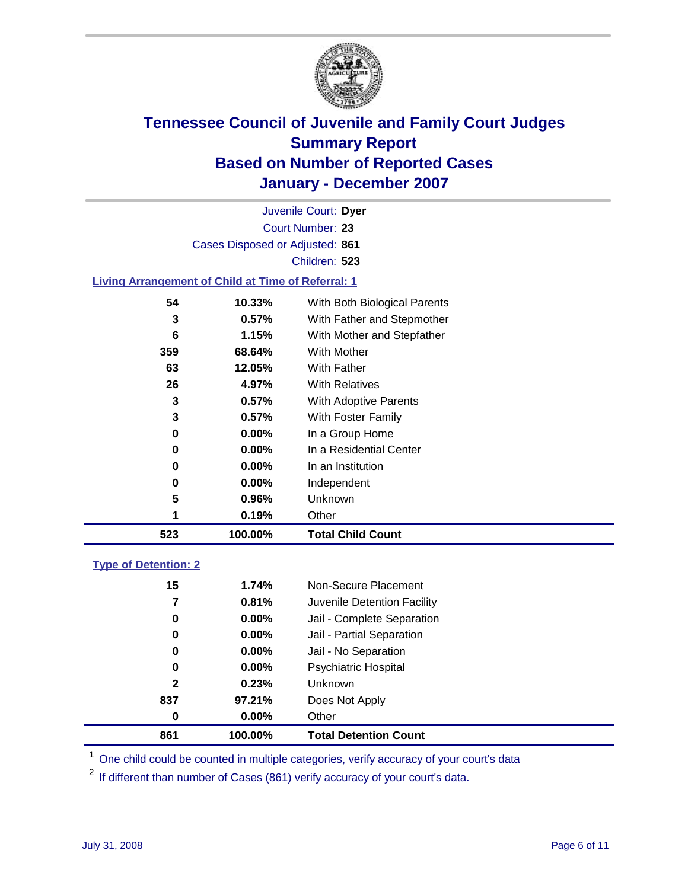

Court Number: **23** Juvenile Court: **Dyer** Cases Disposed or Adjusted: **861** Children: **523**

#### **Living Arrangement of Child at Time of Referral: 1**

| 523 | 100.00%       | <b>Total Child Count</b>     |
|-----|---------------|------------------------------|
|     | 0.19%<br>1    | Other                        |
|     | 5<br>0.96%    | Unknown                      |
|     | $0.00\%$<br>0 | Independent                  |
|     | 0.00%<br>0    | In an Institution            |
|     | $0.00\%$<br>0 | In a Residential Center      |
|     | 0.00%<br>0    | In a Group Home              |
|     | 3<br>$0.57\%$ | With Foster Family           |
|     | 3<br>0.57%    | With Adoptive Parents        |
|     | 26<br>4.97%   | <b>With Relatives</b>        |
|     | 63<br>12.05%  | <b>With Father</b>           |
| 359 | 68.64%        | With Mother                  |
|     | 1.15%<br>6    | With Mother and Stepfather   |
|     | 3<br>$0.57\%$ | With Father and Stepmother   |
|     | 54<br>10.33%  | With Both Biological Parents |
|     |               |                              |

#### **Type of Detention: 2**

| 861          | 100.00%  | <b>Total Detention Count</b> |  |
|--------------|----------|------------------------------|--|
| 0            | $0.00\%$ | Other                        |  |
| 837          | 97.21%   | Does Not Apply               |  |
| $\mathbf{2}$ | 0.23%    | <b>Unknown</b>               |  |
| 0            | 0.00%    | <b>Psychiatric Hospital</b>  |  |
| 0            | $0.00\%$ | Jail - No Separation         |  |
| 0            | $0.00\%$ | Jail - Partial Separation    |  |
| 0            | $0.00\%$ | Jail - Complete Separation   |  |
| 7            | 0.81%    | Juvenile Detention Facility  |  |
| 15           | 1.74%    | Non-Secure Placement         |  |
|              |          |                              |  |

<sup>1</sup> One child could be counted in multiple categories, verify accuracy of your court's data

<sup>2</sup> If different than number of Cases (861) verify accuracy of your court's data.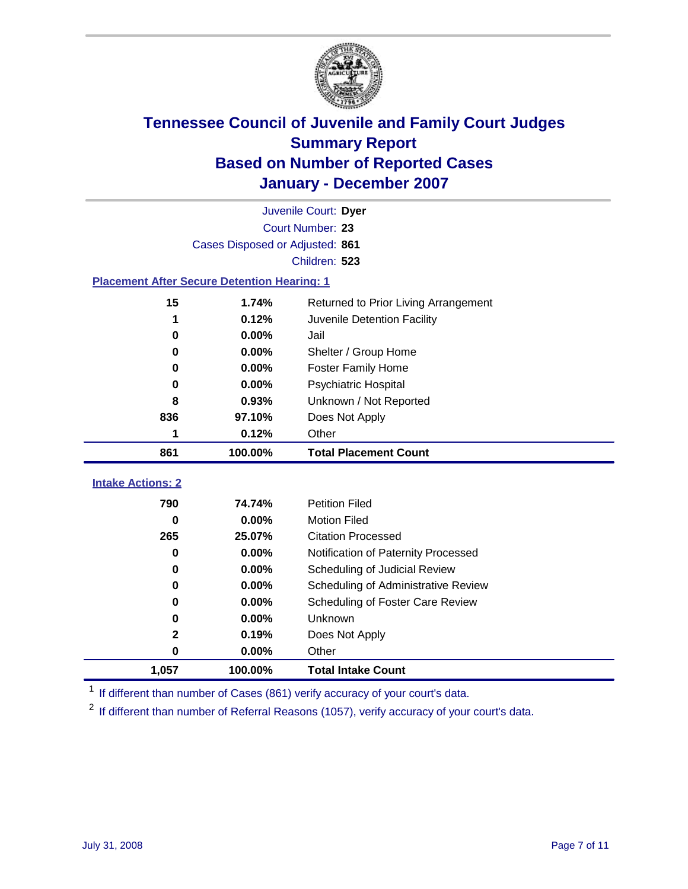

|                                                    | Juvenile Court: Dyer            |                                      |  |  |  |
|----------------------------------------------------|---------------------------------|--------------------------------------|--|--|--|
|                                                    | Court Number: 23                |                                      |  |  |  |
|                                                    | Cases Disposed or Adjusted: 861 |                                      |  |  |  |
|                                                    |                                 | Children: 523                        |  |  |  |
| <b>Placement After Secure Detention Hearing: 1</b> |                                 |                                      |  |  |  |
| 15                                                 | 1.74%                           | Returned to Prior Living Arrangement |  |  |  |
| 1                                                  | 0.12%                           | Juvenile Detention Facility          |  |  |  |
| 0                                                  | 0.00%                           | Jail                                 |  |  |  |
| 0                                                  | $0.00\%$                        | Shelter / Group Home                 |  |  |  |
| 0                                                  | 0.00%                           | <b>Foster Family Home</b>            |  |  |  |
| 0                                                  | 0.00%                           | Psychiatric Hospital                 |  |  |  |
| 8                                                  | 0.93%                           | Unknown / Not Reported               |  |  |  |
| 836                                                | 97.10%                          | Does Not Apply                       |  |  |  |
| 1                                                  | 0.12%                           | Other                                |  |  |  |
| 861                                                | 100.00%                         | <b>Total Placement Count</b>         |  |  |  |
| <b>Intake Actions: 2</b>                           |                                 |                                      |  |  |  |
|                                                    |                                 |                                      |  |  |  |
| 790                                                | 74.74%                          | <b>Petition Filed</b>                |  |  |  |
| 0                                                  | 0.00%                           | <b>Motion Filed</b>                  |  |  |  |
| 265                                                | 25.07%                          | <b>Citation Processed</b>            |  |  |  |
| 0                                                  | 0.00%                           | Notification of Paternity Processed  |  |  |  |
| 0                                                  | 0.00%                           | Scheduling of Judicial Review        |  |  |  |
| 0                                                  | 0.00%                           | Scheduling of Administrative Review  |  |  |  |
| 0                                                  | 0.00%                           | Scheduling of Foster Care Review     |  |  |  |
| 0                                                  | 0.00%                           | Unknown                              |  |  |  |
| $\mathbf 2$                                        | 0.19%                           | Does Not Apply                       |  |  |  |
| $\mathbf 0$                                        | 0.00%                           | Other                                |  |  |  |
| 1,057                                              | 100.00%                         | <b>Total Intake Count</b>            |  |  |  |

<sup>1</sup> If different than number of Cases (861) verify accuracy of your court's data.

<sup>2</sup> If different than number of Referral Reasons (1057), verify accuracy of your court's data.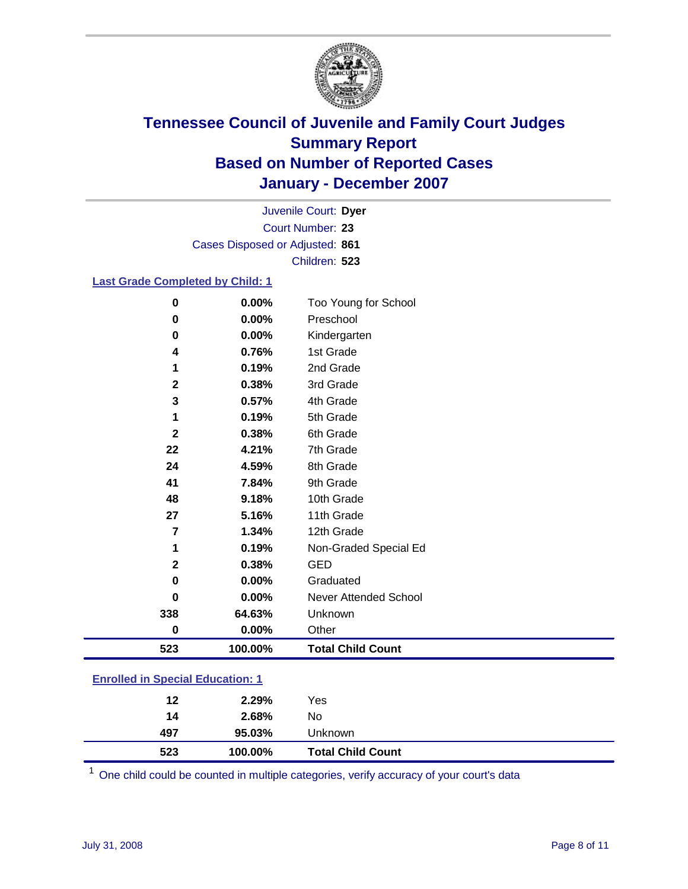

Court Number: **23** Juvenile Court: **Dyer** Cases Disposed or Adjusted: **861** Children: **523**

#### **Last Grade Completed by Child: 1**

| 523          | 100.00% | <b>Total Child Count</b> |
|--------------|---------|--------------------------|
| 0            | 0.00%   | Other                    |
| 338          | 64.63%  | Unknown                  |
| 0            | 0.00%   | Never Attended School    |
| 0            | 0.00%   | Graduated                |
| $\mathbf{2}$ | 0.38%   | <b>GED</b>               |
| 1            | 0.19%   | Non-Graded Special Ed    |
| 7            | 1.34%   | 12th Grade               |
| 27           | 5.16%   | 11th Grade               |
| 48           | 9.18%   | 10th Grade               |
| 41           | 7.84%   | 9th Grade                |
| 24           | 4.59%   | 8th Grade                |
| 22           | 4.21%   | 7th Grade                |
| $\mathbf 2$  | 0.38%   | 6th Grade                |
| 1            | 0.19%   | 5th Grade                |
| 3            | 0.57%   | 4th Grade                |
| $\mathbf{2}$ | 0.38%   | 3rd Grade                |
| 1            | 0.19%   | 2nd Grade                |
| 4            | 0.76%   | 1st Grade                |
| 0            | 0.00%   | Kindergarten             |
| 0            | 0.00%   | Preschool                |
| 0            | 0.00%   | Too Young for School     |

### **Enrolled in Special Education: 1**

One child could be counted in multiple categories, verify accuracy of your court's data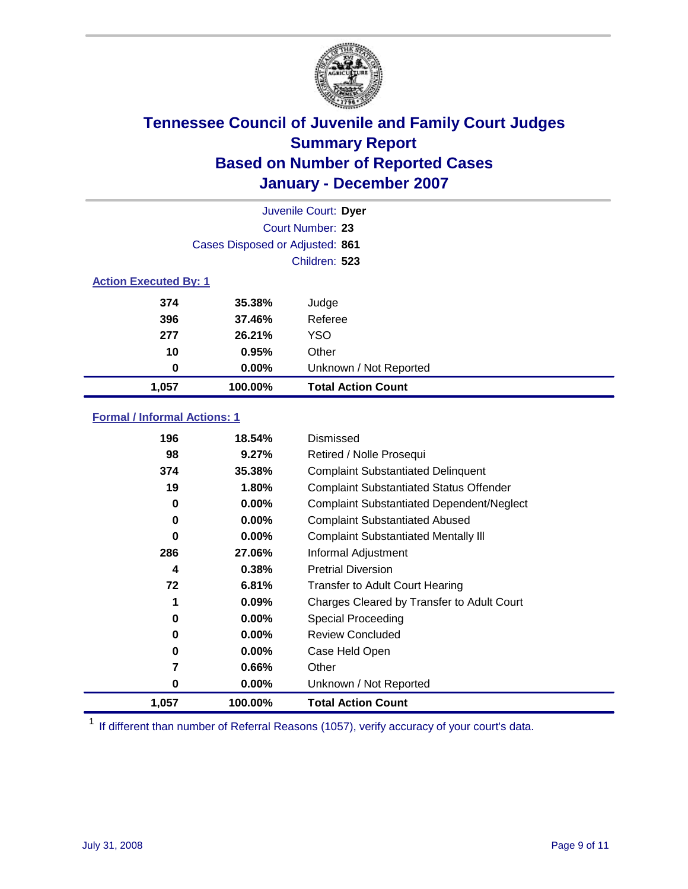

| Juvenile Court: Dyer         |                                 |                           |  |  |
|------------------------------|---------------------------------|---------------------------|--|--|
|                              | Court Number: 23                |                           |  |  |
|                              | Cases Disposed or Adjusted: 861 |                           |  |  |
|                              |                                 | Children: 523             |  |  |
| <b>Action Executed By: 1</b> |                                 |                           |  |  |
| 374                          | 35.38%                          | Judge                     |  |  |
| 396                          | 37.46%                          | Referee                   |  |  |
| 277                          | 26.21%                          | <b>YSO</b>                |  |  |
| 10                           | 0.95%                           | Other                     |  |  |
| 0                            | $0.00\%$                        | Unknown / Not Reported    |  |  |
| 1,057                        | 100.00%                         | <b>Total Action Count</b> |  |  |

### **Formal / Informal Actions: 1**

| 196   | 18.54%   | Dismissed                                        |
|-------|----------|--------------------------------------------------|
| 98    | 9.27%    | Retired / Nolle Prosequi                         |
| 374   | 35.38%   | <b>Complaint Substantiated Delinquent</b>        |
| 19    | 1.80%    | <b>Complaint Substantiated Status Offender</b>   |
| 0     | 0.00%    | <b>Complaint Substantiated Dependent/Neglect</b> |
| 0     | 0.00%    | <b>Complaint Substantiated Abused</b>            |
| 0     | $0.00\%$ | <b>Complaint Substantiated Mentally III</b>      |
| 286   | 27.06%   | Informal Adjustment                              |
| 4     | 0.38%    | <b>Pretrial Diversion</b>                        |
| 72    | 6.81%    | <b>Transfer to Adult Court Hearing</b>           |
| 1     | 0.09%    | Charges Cleared by Transfer to Adult Court       |
| 0     | 0.00%    | Special Proceeding                               |
| 0     | $0.00\%$ | <b>Review Concluded</b>                          |
| 0     | $0.00\%$ | Case Held Open                                   |
| 7     | 0.66%    | Other                                            |
| 0     | $0.00\%$ | Unknown / Not Reported                           |
| 1,057 | 100.00%  | <b>Total Action Count</b>                        |

<sup>1</sup> If different than number of Referral Reasons (1057), verify accuracy of your court's data.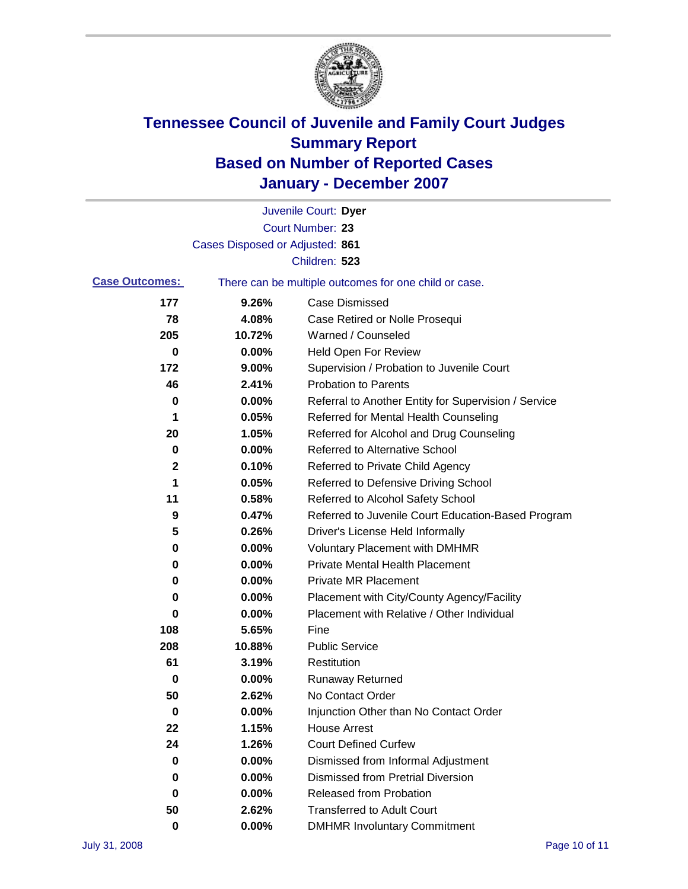

|                       |                                 | Juvenile Court: Dyer                                  |
|-----------------------|---------------------------------|-------------------------------------------------------|
|                       |                                 | Court Number: 23                                      |
|                       | Cases Disposed or Adjusted: 861 |                                                       |
|                       |                                 | Children: 523                                         |
| <b>Case Outcomes:</b> |                                 | There can be multiple outcomes for one child or case. |
| 177                   | 9.26%                           | <b>Case Dismissed</b>                                 |
| 78                    | 4.08%                           | Case Retired or Nolle Prosequi                        |
| 205                   | 10.72%                          | Warned / Counseled                                    |
| 0                     | 0.00%                           | <b>Held Open For Review</b>                           |
| 172                   | 9.00%                           | Supervision / Probation to Juvenile Court             |
| 46                    | 2.41%                           | <b>Probation to Parents</b>                           |
| 0                     | 0.00%                           | Referral to Another Entity for Supervision / Service  |
| 1                     | 0.05%                           | Referred for Mental Health Counseling                 |
| 20                    | 1.05%                           | Referred for Alcohol and Drug Counseling              |
| 0                     | 0.00%                           | <b>Referred to Alternative School</b>                 |
| 2                     | 0.10%                           | Referred to Private Child Agency                      |
| 1                     | 0.05%                           | Referred to Defensive Driving School                  |
| 11                    | 0.58%                           | Referred to Alcohol Safety School                     |
| 9                     | 0.47%                           | Referred to Juvenile Court Education-Based Program    |
| 5                     | 0.26%                           | Driver's License Held Informally                      |
| 0                     | 0.00%                           | <b>Voluntary Placement with DMHMR</b>                 |
| 0                     | 0.00%                           | <b>Private Mental Health Placement</b>                |
| 0                     | 0.00%                           | <b>Private MR Placement</b>                           |
| 0                     | 0.00%                           | Placement with City/County Agency/Facility            |
| 0                     | 0.00%                           | Placement with Relative / Other Individual            |
| 108                   | 5.65%                           | Fine                                                  |
| 208                   | 10.88%                          | <b>Public Service</b>                                 |
| 61                    | 3.19%                           | Restitution                                           |
| 0                     | 0.00%                           | <b>Runaway Returned</b>                               |
| 50                    | 2.62%                           | No Contact Order                                      |
| $\bf{0}$              | 0.00%                           | Injunction Other than No Contact Order                |
| 22                    | 1.15%                           | <b>House Arrest</b>                                   |
| 24                    | 1.26%                           | <b>Court Defined Curfew</b>                           |
| 0                     | 0.00%                           | Dismissed from Informal Adjustment                    |
| 0                     | 0.00%                           | <b>Dismissed from Pretrial Diversion</b>              |
| 0                     | 0.00%                           | <b>Released from Probation</b>                        |
| 50                    | 2.62%                           | <b>Transferred to Adult Court</b>                     |
| $\mathbf 0$           | 0.00%                           | <b>DMHMR Involuntary Commitment</b>                   |